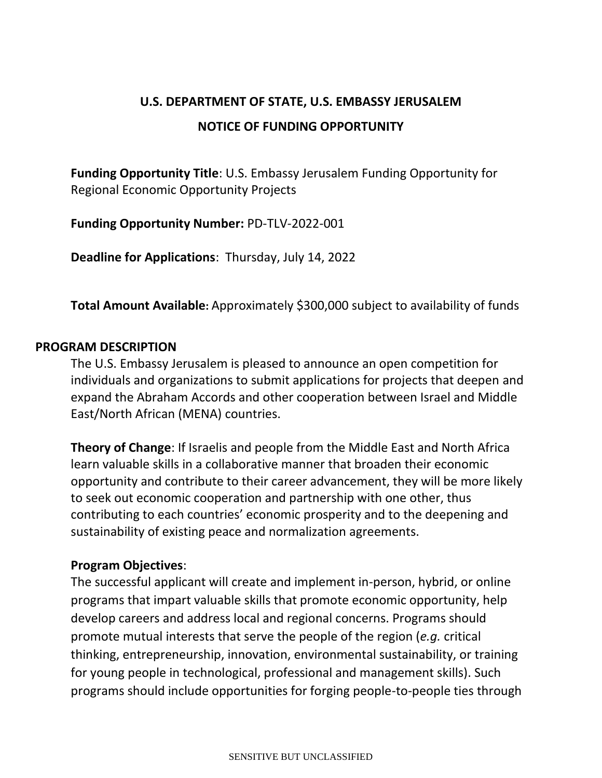# **U.S. DEPARTMENT OF STATE, U.S. EMBASSY JERUSALEM NOTICE OF FUNDING OPPORTUNITY**

**Funding Opportunity Title**: U.S. Embassy Jerusalem Funding Opportunity for Regional Economic Opportunity Projects

**Funding Opportunity Number:** PD-TLV-2022-001

**Deadline for Applications**: Thursday, July 14, 2022

**Total Amount Available:** Approximately \$300,000 subject to availability of funds

#### **PROGRAM DESCRIPTION**

The U.S. Embassy Jerusalem is pleased to announce an open competition for individuals and organizations to submit applications for projects that deepen and expand the Abraham Accords and other cooperation between Israel and Middle East/North African (MENA) countries.

**Theory of Change**: If Israelis and people from the Middle East and North Africa learn valuable skills in a collaborative manner that broaden their economic opportunity and contribute to their career advancement, they will be more likely to seek out economic cooperation and partnership with one other, thus contributing to each countries' economic prosperity and to the deepening and sustainability of existing peace and normalization agreements.

## **Program Objectives**:

The successful applicant will create and implement in-person, hybrid, or online programs that impart valuable skills that promote economic opportunity, help develop careers and address local and regional concerns. Programs should promote mutual interests that serve the people of the region (*e.g.* critical thinking, entrepreneurship, innovation, environmental sustainability, or training for young people in technological, professional and management skills). Such programs should include opportunities for forging people-to-people ties through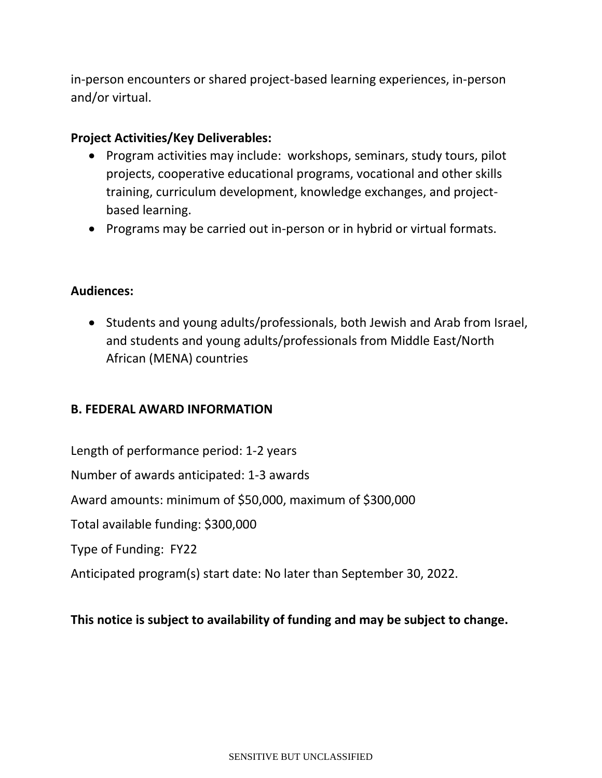in-person encounters or shared project-based learning experiences, in-person and/or virtual.

### **Project Activities/Key Deliverables:**

- Program activities may include: workshops, seminars, study tours, pilot projects, cooperative educational programs, vocational and other skills training, curriculum development, knowledge exchanges, and projectbased learning.
- Programs may be carried out in-person or in hybrid or virtual formats.

## **Audiences:**

• Students and young adults/professionals, both Jewish and Arab from Israel, and students and young adults/professionals from Middle East/North African (MENA) countries

## **B. FEDERAL AWARD INFORMATION**

Length of performance period: 1-2 years

Number of awards anticipated: 1-3 awards

Award amounts: minimum of \$50,000, maximum of \$300,000

Total available funding: \$300,000

Type of Funding: FY22

Anticipated program(s) start date: No later than September 30, 2022.

#### **This notice is subject to availability of funding and may be subject to change.**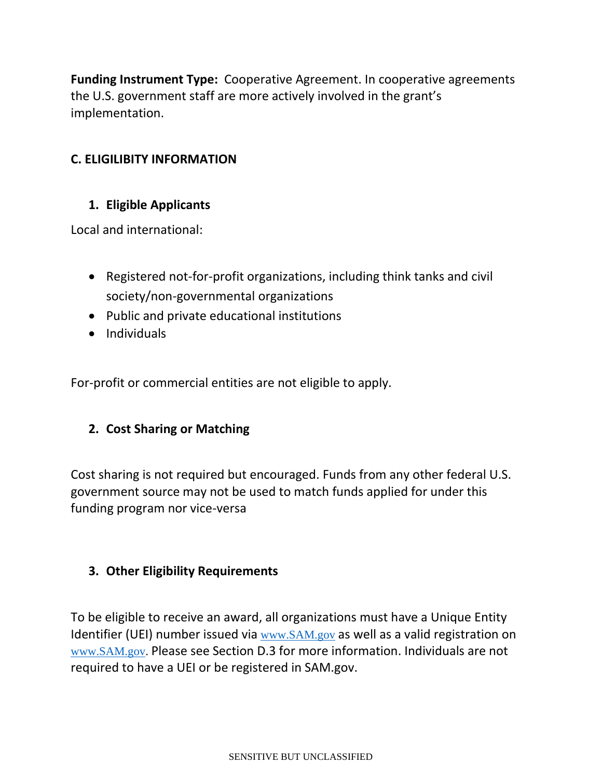**Funding Instrument Type:** Cooperative Agreement. In cooperative agreements the U.S. government staff are more actively involved in the grant's implementation.

# **C. ELIGILIBITY INFORMATION**

## **1. Eligible Applicants**

Local and international:

- Registered not-for-profit organizations, including think tanks and civil society/non-governmental organizations
- Public and private educational institutions
- Individuals

For-profit or commercial entities are not eligible to apply.

## **2. Cost Sharing or Matching**

Cost sharing is not required but encouraged. Funds from any other federal U.S. government source may not be used to match funds applied for under this funding program nor vice-versa

## **3. Other Eligibility Requirements**

To be eligible to receive an award, all organizations must have a Unique Entity Identifier (UEI) number issued via [www.SAM.gov](http://www.sam.gov/) as well as a valid registration on [www.SAM.gov.](http://www.sam.gov/) Please see Section D.3 for more information. Individuals are not required to have a UEI or be registered in SAM.gov.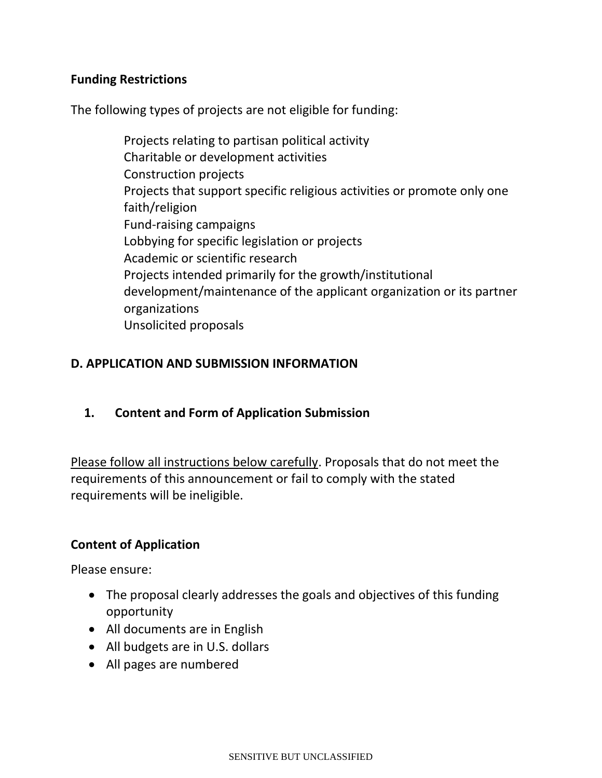## **Funding Restrictions**

The following types of projects are not eligible for funding:

Projects relating to partisan political activity Charitable or development activities Construction projects Projects that support specific religious activities or promote only one faith/religion Fund-raising campaigns Lobbying for specific legislation or projects Academic or scientific research Projects intended primarily for the growth/institutional development/maintenance of the applicant organization or its partner organizations Unsolicited proposals

## **D. APPLICATION AND SUBMISSION INFORMATION**

## **1. Content and Form of Application Submission**

Please follow all instructions below carefully. Proposals that do not meet the requirements of this announcement or fail to comply with the stated requirements will be ineligible.

## **Content of Application**

Please ensure:

- The proposal clearly addresses the goals and objectives of this funding opportunity
- All documents are in English
- All budgets are in U.S. dollars
- All pages are numbered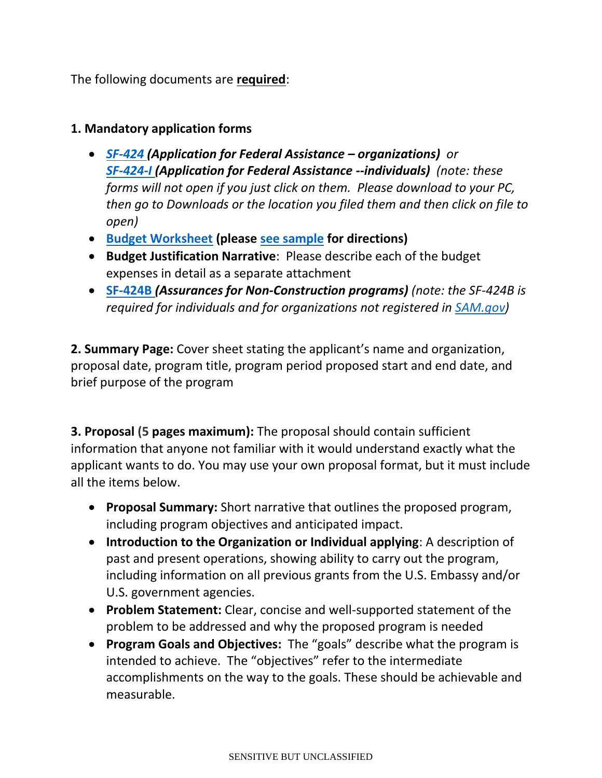The following documents are **required**:

## **1. Mandatory application forms**

- *[SF-424](https://il.usembassy.gov/wp-content/uploads/sites/33/SF424_4_0-V4.0.pdf) (Application for Federal Assistance – organizations) or [SF-424-I](https://il.usembassy.gov/wp-content/uploads/sites/33/SF424_Individual_2_0-V2.0.pdf) (Application for Federal Assistance --individuals) (note: these forms will not open if you just click on them. Please download to your PC, then go to Downloads or the location you filed them and then click on file to open)*
- **[Budget Worksheet](https://il.usembassy.gov/wp-content/uploads/sites/33/Budget-Worksheet-SE.xls) (please [see sample](https://il.usembassy.gov/wp-content/uploads/sites/33/Budget-Worksheet-for-grants-sample.xlsx) for directions)**
- **Budget Justification Narrative**: Please describe each of the budget expenses in detail as a separate attachment
- **[SF-424B](https://il.usembassy.gov/wp-content/uploads/sites/33/SF424B-V1.1-3.pdf)** *(Assurances for Non-Construction programs) (note: the SF-424B is required for individuals and for organizations not registered in [SAM.gov\)](https://sam.gov/)*

**2. Summary Page:** Cover sheet stating the applicant's name and organization, proposal date, program title, program period proposed start and end date, and brief purpose of the program

**3. Proposal (5 pages maximum):** The proposal should contain sufficient information that anyone not familiar with it would understand exactly what the applicant wants to do. You may use your own proposal format, but it must include all the items below.

- **Proposal Summary:** Short narrative that outlines the proposed program, including program objectives and anticipated impact.
- **Introduction to the Organization or Individual applying**: A description of past and present operations, showing ability to carry out the program, including information on all previous grants from the U.S. Embassy and/or U.S. government agencies.
- **Problem Statement:** Clear, concise and well-supported statement of the problem to be addressed and why the proposed program is needed
- **Program Goals and Objectives:** The "goals" describe what the program is intended to achieve. The "objectives" refer to the intermediate accomplishments on the way to the goals. These should be achievable and measurable.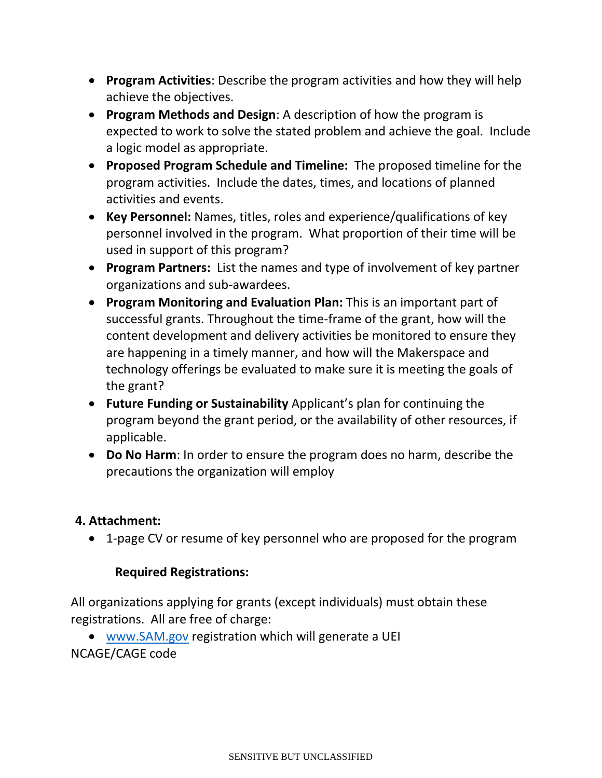- **Program Activities**: Describe the program activities and how they will help achieve the objectives.
- **Program Methods and Design**: A description of how the program is expected to work to solve the stated problem and achieve the goal. Include a logic model as appropriate.
- **Proposed Program Schedule and Timeline:** The proposed timeline for the program activities. Include the dates, times, and locations of planned activities and events.
- **Key Personnel:** Names, titles, roles and experience/qualifications of key personnel involved in the program. What proportion of their time will be used in support of this program?
- **Program Partners:** List the names and type of involvement of key partner organizations and sub-awardees.
- **Program Monitoring and Evaluation Plan:** This is an important part of successful grants. Throughout the time-frame of the grant, how will the content development and delivery activities be monitored to ensure they are happening in a timely manner, and how will the Makerspace and technology offerings be evaluated to make sure it is meeting the goals of the grant?
- **Future Funding or Sustainability** Applicant's plan for continuing the program beyond the grant period, or the availability of other resources, if applicable.
- **Do No Harm**: In order to ensure the program does no harm, describe the precautions the organization will employ

## **4. Attachment:**

• 1-page CV or resume of key personnel who are proposed for the program

# **Required Registrations:**

All organizations applying for grants (except individuals) must obtain these registrations. All are free of charge:

• [www.SAM.gov](https://gcc02.safelinks.protection.outlook.com/?url=http%3A%2F%2Fwww.sam.gov%2F&data=04%7C01%7Cfjeldkk%40state.gov%7C8a179f425ec644553b0a08da0c446ace%7C66cf50745afe48d1a691a12b2121f44b%7C0%7C0%7C637835785239027166%7CUnknown%7CTWFpbGZsb3d8eyJWIjoiMC4wLjAwMDAiLCJQIjoiV2luMzIiLCJBTiI6Ik1haWwiLCJXVCI6Mn0%3D%7C3000&sdata=1O%2BquRWkk5TWZ9R%2FzeWA%2BjVqSPwgts5FKs5lUXBCVGU%3D&reserved=0) registration which will generate a UEI NCAGE/CAGE code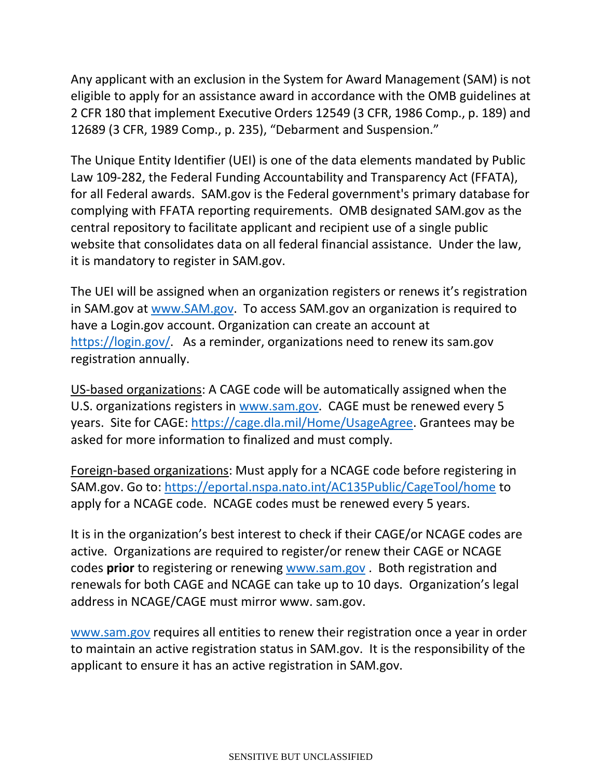Any applicant with an exclusion in the System for Award Management (SAM) is not eligible to apply for an assistance award in accordance with the OMB guidelines at 2 CFR 180 that implement Executive Orders 12549 (3 CFR, 1986 Comp., p. 189) and 12689 (3 CFR, 1989 Comp., p. 235), "Debarment and Suspension."

The Unique Entity Identifier (UEI) is one of the data elements mandated by Public Law 109-282, the Federal Funding Accountability and Transparency Act (FFATA), for all Federal awards. SAM.gov is the Federal government's primary database for complying with FFATA reporting requirements. OMB designated SAM.gov as the central repository to facilitate applicant and recipient use of a single public website that consolidates data on all federal financial assistance. Under the law, it is mandatory to register in SAM.gov.

The UEI will be assigned when an organization registers or renews it's registration in SAM.gov at [www.SAM.gov.](https://gcc02.safelinks.protection.outlook.com/?url=http%3A%2F%2Fwww.sam.gov%2F&data=04%7C01%7Cfjeldkk%40state.gov%7C8a179f425ec644553b0a08da0c446ace%7C66cf50745afe48d1a691a12b2121f44b%7C0%7C0%7C637835785239027166%7CUnknown%7CTWFpbGZsb3d8eyJWIjoiMC4wLjAwMDAiLCJQIjoiV2luMzIiLCJBTiI6Ik1haWwiLCJXVCI6Mn0%3D%7C3000&sdata=1O%2BquRWkk5TWZ9R%2FzeWA%2BjVqSPwgts5FKs5lUXBCVGU%3D&reserved=0) To access SAM.gov an organization is required to have a Login.gov account. Organization can create an account at [https://login.gov/.](https://gcc02.safelinks.protection.outlook.com/?url=https%3A%2F%2Flogin.gov%2F&data=04%7C01%7Cfjeldkk%40state.gov%7C8a179f425ec644553b0a08da0c446ace%7C66cf50745afe48d1a691a12b2121f44b%7C0%7C0%7C637835785239027166%7CUnknown%7CTWFpbGZsb3d8eyJWIjoiMC4wLjAwMDAiLCJQIjoiV2luMzIiLCJBTiI6Ik1haWwiLCJXVCI6Mn0%3D%7C3000&sdata=tZgLWndOJE4QfgsenOHTZxlAyGwD1%2FcsHk9zT0XqO9g%3D&reserved=0) As a reminder, organizations need to renew its sam.gov registration annually.

US-based organizations: A CAGE code will be automatically assigned when the U.S. organizations registers in [www.sam.gov.](https://gcc02.safelinks.protection.outlook.com/?url=http%3A%2F%2Fwww.sam.gov%2F&data=04%7C01%7Cfjeldkk%40state.gov%7C8a179f425ec644553b0a08da0c446ace%7C66cf50745afe48d1a691a12b2121f44b%7C0%7C0%7C637835785239027166%7CUnknown%7CTWFpbGZsb3d8eyJWIjoiMC4wLjAwMDAiLCJQIjoiV2luMzIiLCJBTiI6Ik1haWwiLCJXVCI6Mn0%3D%7C3000&sdata=1O%2BquRWkk5TWZ9R%2FzeWA%2BjVqSPwgts5FKs5lUXBCVGU%3D&reserved=0) CAGE must be renewed every 5 years. Site for CAGE: [https://cage.dla.mil/Home/UsageAgree.](https://gcc02.safelinks.protection.outlook.com/?url=https%3A%2F%2Fcage.dla.mil%2FHome%2FUsageAgree&data=04%7C01%7Cfjeldkk%40state.gov%7C8a179f425ec644553b0a08da0c446ace%7C66cf50745afe48d1a691a12b2121f44b%7C0%7C0%7C637835785239027166%7CUnknown%7CTWFpbGZsb3d8eyJWIjoiMC4wLjAwMDAiLCJQIjoiV2luMzIiLCJBTiI6Ik1haWwiLCJXVCI6Mn0%3D%7C3000&sdata=bFd%2Bl85kI4M5naGwjUh%2FT%2BhzzO9oM99ycJhXxaj8E0M%3D&reserved=0#_blank) Grantees may be asked for more information to finalized and must comply.

Foreign-based organizations: Must apply for a NCAGE code before registering in SAM.gov. Go to: [https://eportal.nspa.nato.int/AC135Public/CageTool/home](https://gcc02.safelinks.protection.outlook.com/?url=https%3A%2F%2Feportal.nspa.nato.int%2FAC135Public%2FCageTool%2Fhome&data=04%7C01%7Cfjeldkk%40state.gov%7C8a179f425ec644553b0a08da0c446ace%7C66cf50745afe48d1a691a12b2121f44b%7C0%7C0%7C637835785239027166%7CUnknown%7CTWFpbGZsb3d8eyJWIjoiMC4wLjAwMDAiLCJQIjoiV2luMzIiLCJBTiI6Ik1haWwiLCJXVCI6Mn0%3D%7C3000&sdata=%2BTHWRv0gnfDbegXazZ4K1%2FRbBP1LF6fHbu58wbsscVM%3D&reserved=0#_blank) to apply for a NCAGE code. NCAGE codes must be renewed every 5 years.

It is in the organization's best interest to check if their CAGE/or NCAGE codes are active. Organizations are required to register/or renew their CAGE or NCAGE codes **prior** to registering or renewing [www.sam.gov](https://gcc02.safelinks.protection.outlook.com/?url=http%3A%2F%2Fwww.sam.gov%2F&data=04%7C01%7Cfjeldkk%40state.gov%7C8a179f425ec644553b0a08da0c446ace%7C66cf50745afe48d1a691a12b2121f44b%7C0%7C0%7C637835785239027166%7CUnknown%7CTWFpbGZsb3d8eyJWIjoiMC4wLjAwMDAiLCJQIjoiV2luMzIiLCJBTiI6Ik1haWwiLCJXVCI6Mn0%3D%7C3000&sdata=1O%2BquRWkk5TWZ9R%2FzeWA%2BjVqSPwgts5FKs5lUXBCVGU%3D&reserved=0#_blank) . Both registration and renewals for both CAGE and NCAGE can take up to 10 days. Organization's legal address in NCAGE/CAGE must mirror www. sam.gov.

[www.sam.gov](https://gcc02.safelinks.protection.outlook.com/?url=http%3A%2F%2Fwww.sam.gov%2F&data=04%7C01%7Cfjeldkk%40state.gov%7C8a179f425ec644553b0a08da0c446ace%7C66cf50745afe48d1a691a12b2121f44b%7C0%7C0%7C637835785239027166%7CUnknown%7CTWFpbGZsb3d8eyJWIjoiMC4wLjAwMDAiLCJQIjoiV2luMzIiLCJBTiI6Ik1haWwiLCJXVCI6Mn0%3D%7C3000&sdata=1O%2BquRWkk5TWZ9R%2FzeWA%2BjVqSPwgts5FKs5lUXBCVGU%3D&reserved=0#_blank) requires all entities to renew their registration once a year in order to maintain an active registration status in SAM.gov. It is the responsibility of the applicant to ensure it has an active registration in SAM.gov.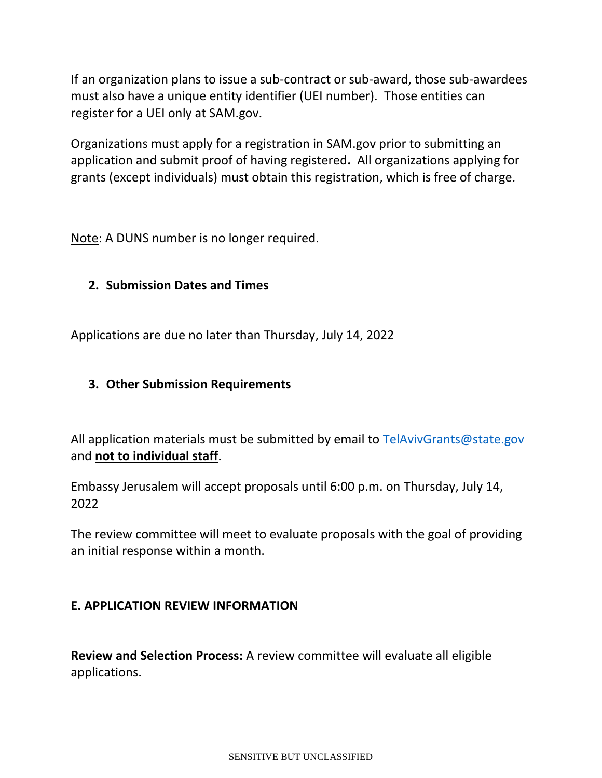If an organization plans to issue a sub-contract or sub-award, those sub-awardees must also have a unique entity identifier (UEI number). Those entities can register for a UEI only at SAM.gov.

Organizations must apply for a registration in SAM.gov prior to submitting an application and submit proof of having registered**.** All organizations applying for grants (except individuals) must obtain this registration, which is free of charge.

Note: A DUNS number is no longer required.

# **2. Submission Dates and Times**

Applications are due no later than Thursday, July 14, 2022

## **3. Other Submission Requirements**

All application materials must be submitted by email to [TelAvivGrants@state.gov](mailto:XXX@state.gov) and **not to individual staff**.

Embassy Jerusalem will accept proposals until 6:00 p.m. on Thursday, July 14, 2022

The review committee will meet to evaluate proposals with the goal of providing an initial response within a month.

## **E. APPLICATION REVIEW INFORMATION**

**Review and Selection Process:** A review committee will evaluate all eligible applications.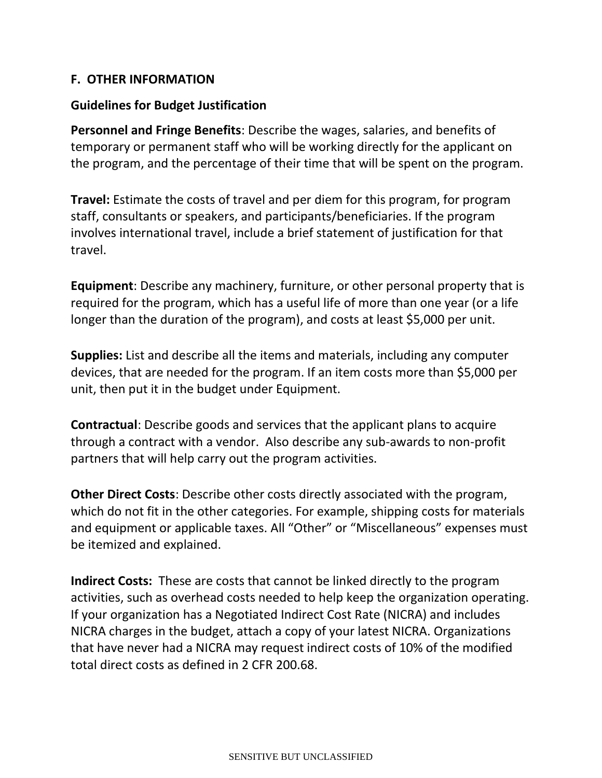### **F. OTHER INFORMATION**

#### **Guidelines for Budget Justification**

**Personnel and Fringe Benefits**: Describe the wages, salaries, and benefits of temporary or permanent staff who will be working directly for the applicant on the program, and the percentage of their time that will be spent on the program.

**Travel:** Estimate the costs of travel and per diem for this program, for program staff, consultants or speakers, and participants/beneficiaries. If the program involves international travel, include a brief statement of justification for that travel.

**Equipment**: Describe any machinery, furniture, or other personal property that is required for the program, which has a useful life of more than one year (or a life longer than the duration of the program), and costs at least \$5,000 per unit.

**Supplies:** List and describe all the items and materials, including any computer devices, that are needed for the program. If an item costs more than \$5,000 per unit, then put it in the budget under Equipment.

**Contractual**: Describe goods and services that the applicant plans to acquire through a contract with a vendor. Also describe any sub-awards to non-profit partners that will help carry out the program activities.

**Other Direct Costs**: Describe other costs directly associated with the program, which do not fit in the other categories. For example, shipping costs for materials and equipment or applicable taxes. All "Other" or "Miscellaneous" expenses must be itemized and explained.

**Indirect Costs:** These are costs that cannot be linked directly to the program activities, such as overhead costs needed to help keep the organization operating. If your organization has a Negotiated Indirect Cost Rate (NICRA) and includes NICRA charges in the budget, attach a copy of your latest NICRA. Organizations that have never had a NICRA may request indirect costs of 10% of the modified total direct costs as defined in 2 CFR 200.68.